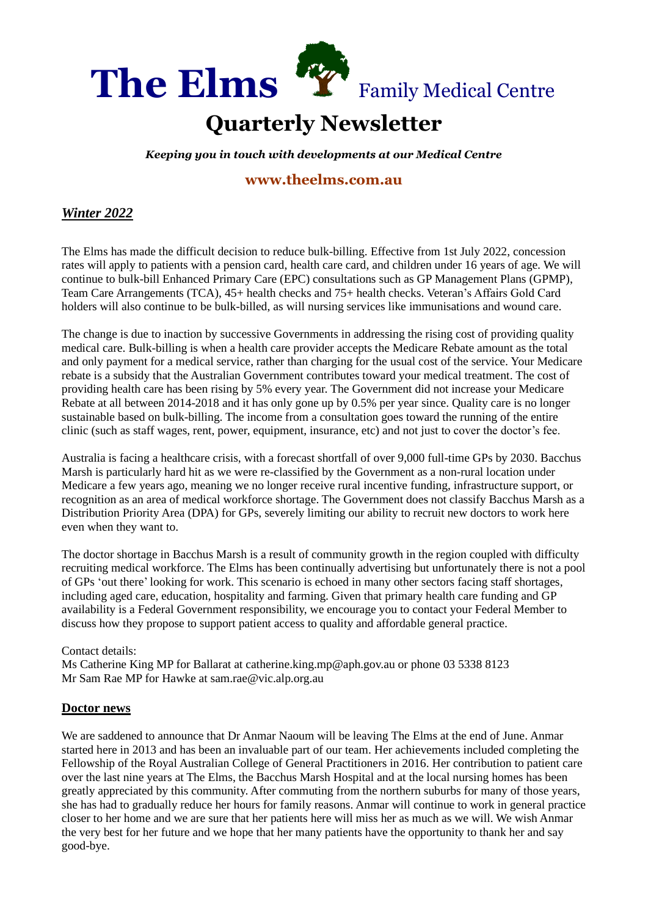

#### **Quarterly Newsletter** . . .

*Keeping you in touch with developments at our Medical Centre* QU

# **[www.theelms.com.au](http://www.theelms.com.au/)** AR

## *Winter 2022*

The Elms has made the difficult decision to reduce bulk-billing. Effective from 1st July 2022, concession rates will apply to patients with a pension card, health care card, and children under 16 years of age. We will continue to bulk-bill Enhanced Primary Care (EPC) consultations such as GP Management Plans (GPMP), Team Care Arrangements (TCA), 45+ health checks and 75+ health checks. Veteran's Affairs Gold Card holders will also continue to be bulk-billed, as will nursing services like immunisations and wound care. LY

The change is due to inaction by successive Governments in addressing the rising cost of providing quality medical care. Bulk-billing is when a health care provider accepts the Medicare Rebate amount as the total and only payment for a medical service, rather than charging for the usual cost of the service. Your Medicare rebate is a subsidy that the Australian Government contributes toward your medical treatment. The cost of providing health care has been rising by 5% every year. The Government did not increase your Medicare Rebate at all between 2014-2018 and it has only gone up by 0.5% per year since. Quality care is no longer sustainable based on bulk-billing. The income from a consultation goes toward the running of the entire clinic (such as staff wages, rent, power, equipment, insurance, etc) and not just to cover the doctor's fee.

Australia is facing a healthcare crisis, with a forecast shortfall of over 9,000 full-time GPs by 2030. Bacchus Marsh is particularly hard hit as we were re-classified by the Government as a non-rural location under Medicare a few years ago, meaning we no longer receive rural incentive funding, infrastructure support, or recognition as an area of medical workforce shortage. The Government does not classify Bacchus Marsh as a Distribution Priority Area (DPA) for GPs, severely limiting our ability to recruit new doctors to work here even when they want to.

The doctor shortage in Bacchus Marsh is a result of community growth in the region coupled with difficulty recruiting medical workforce. The Elms has been continually advertising but unfortunately there is not a pool of GPs 'out there' looking for work. This scenario is echoed in many other sectors facing staff shortages, including aged care, education, hospitality and farming. Given that primary health care funding and GP availability is a Federal Government responsibility, we encourage you to contact your Federal Member to discuss how they propose to support patient access to quality and affordable general practice.

#### Contact details:

Ms Catherine King MP for Ballarat at catherine.king.mp@aph.gov.au or phone 03 5338 8123 Mr Sam Rae MP for Hawke at sam.rae@vic.alp.org.au

#### **Doctor news**

We are saddened to announce that Dr Anmar Naoum will be leaving The Elms at the end of June. Anmar started here in 2013 and has been an invaluable part of our team. Her achievements included completing the Fellowship of the Royal Australian College of General Practitioners in 2016. Her contribution to patient care over the last nine years at The Elms, the Bacchus Marsh Hospital and at the local nursing homes has been greatly appreciated by this community. After commuting from the northern suburbs for many of those years, she has had to gradually reduce her hours for family reasons. Anmar will continue to work in general practice closer to her home and we are sure that her patients here will miss her as much as we will. We wish Anmar the very best for her future and we hope that her many patients have the opportunity to thank her and say good-bye.